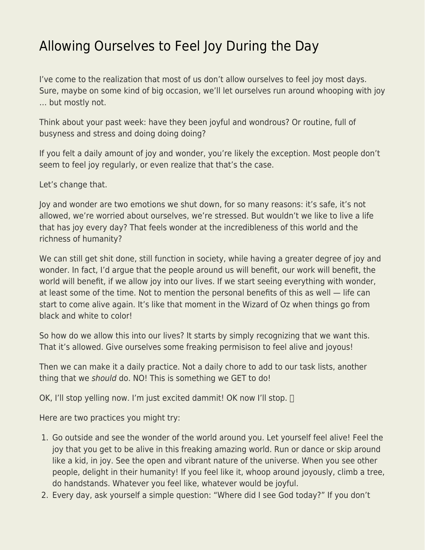## [Allowing Ourselves to Feel Joy During the Day](https://everything-voluntary.com/allowing-ourselves-to-feel-joy-during-the-day)

I've come to the realization that most of us don't allow ourselves to feel joy most days. Sure, maybe on some kind of big occasion, we'll let ourselves run around whooping with joy … but mostly not.

Think about your past week: have they been joyful and wondrous? Or routine, full of busyness and stress and doing doing doing?

If you felt a daily amount of joy and wonder, you're likely the exception. Most people don't seem to feel joy regularly, or even realize that that's the case.

Let's change that.

Joy and wonder are two emotions we shut down, for so many reasons: it's safe, it's not allowed, we're worried about ourselves, we're stressed. But wouldn't we like to live a life that has joy every day? That feels wonder at the incredibleness of this world and the richness of humanity?

We can still get shit done, still function in society, while having a greater degree of joy and wonder. In fact, I'd argue that the people around us will benefit, our work will benefit, the world will benefit, if we allow joy into our lives. If we start seeing everything with wonder, at least some of the time. Not to mention the personal benefits of this as well — life can start to come alive again. It's like that moment in the Wizard of Oz when things go from black and white to color!

So how do we allow this into our lives? It starts by simply recognizing that we want this. That it's allowed. Give ourselves some freaking permisison to feel alive and joyous!

Then we can make it a daily practice. Not a daily chore to add to our task lists, another thing that we should do. NO! This is something we GET to do!

OK, I'll stop yelling now. I'm just excited dammit! OK now I'll stop.  $\Box$ 

Here are two practices you might try:

- 1. Go outside and see the wonder of the world around you. Let yourself feel alive! Feel the joy that you get to be alive in this freaking amazing world. Run or dance or skip around like a kid, in joy. See the open and vibrant nature of the universe. When you see other people, delight in their humanity! If you feel like it, whoop around joyously, climb a tree, do handstands. Whatever you feel like, whatever would be joyful.
- 2. Every day, ask yourself a simple question: "Where did I see God today?" If you don't